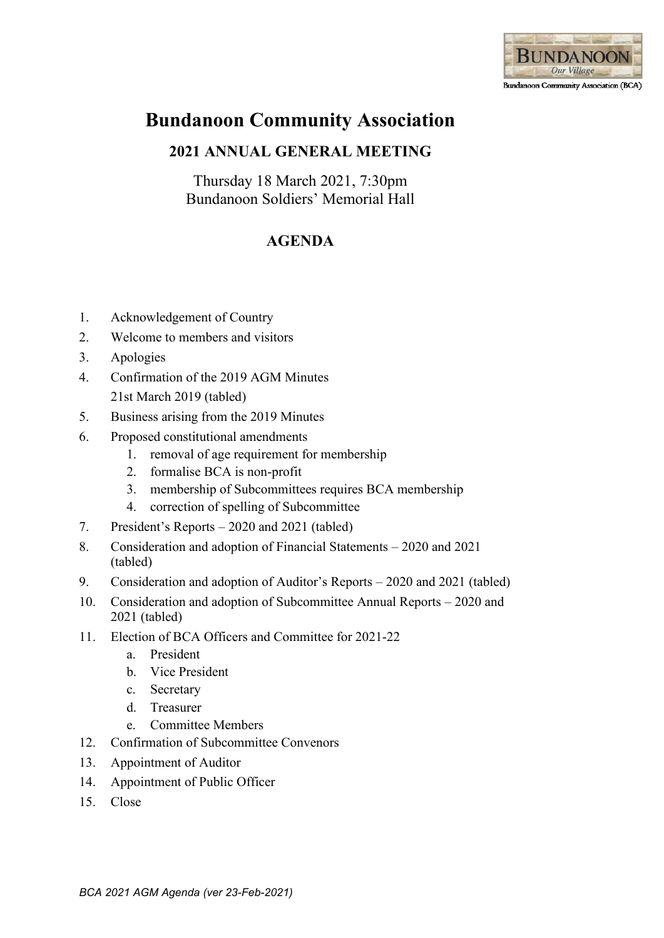

# **Bundanoon Community Association**

## **2021 ANNUAL GENERAL MEETING**

Thursday 18 March 2021, 7:30pm Bundanoon Soldiers' Memorial Hall

## **AGENDA**

- 1. Acknowledgement of Country
- 2. Welcome to members and visitors
- 3. Apologies
- 4. Confirmation of the 2019 AGM Minutes 21st March 2019 (tabled)
- 5. Business arising from the 2019 Minutes
- 6. Proposed constitutional amendments
	- 1. removal of age requirement for membership
	- 2. formalise BCA is non-profit
	- 3. membership of Subcommittees requires BCA membership
	- 4. correction of spelling of Subcommittee
- 7. President's Reports 2020 and 2021 (tabled)
- 8. Consideration and adoption of Financial Statements 2020 and 2021 (tabled)
- 9. Consideration and adoption of Auditor's Reports 2020 and 2021 (tabled)
- 10. Consideration and adoption of Subcommittee Annual Reports 2020 and 2021 (tabled)
- 11. Election of BCA Officers and Committee for 2021-22
	- a. President
	- b. Vice President
	- c. Secretary
	- d. Treasurer
	- e. Committee Members
- 12. Confirmation of Subcommittee Convenors
- 13. Appointment of Auditor
- 14. Appointment of Public Officer
- 15. Close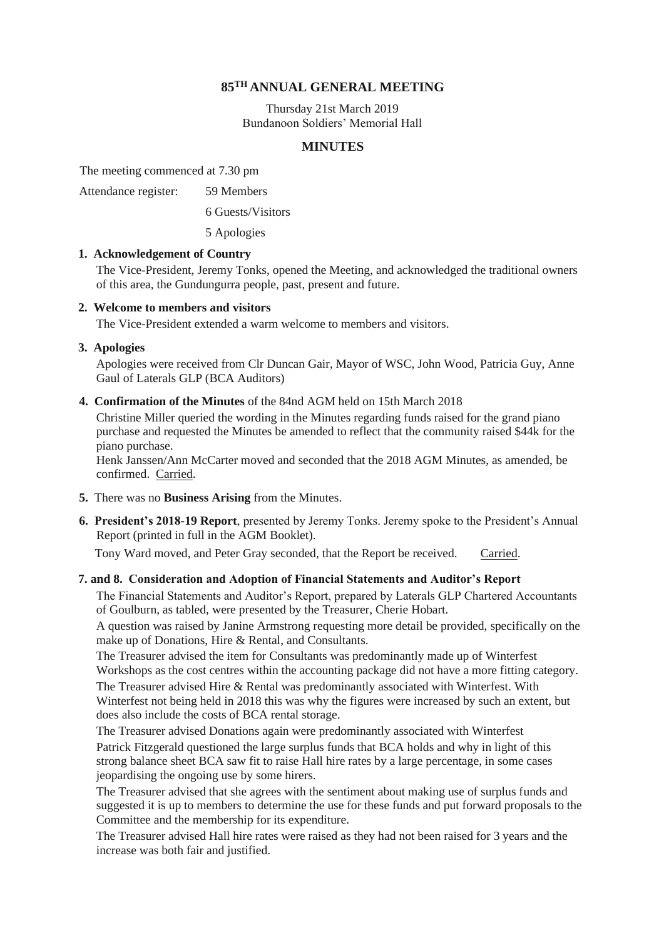### **85TH ANNUAL GENERAL MEETING**

Thursday 21st March 2019 Bundanoon Soldiers' Memorial Hall

### **MINUTES**

The meeting commenced at 7.30 pm

Attendance register: 59 Members

6 Guests/Visitors

5 Apologies

### **1. Acknowledgement of Country**

The Vice-President, Jeremy Tonks, opened the Meeting, and acknowledged the traditional owners of this area, the Gundungurra people, past, present and future.

### **2. Welcome to members and visitors**

The Vice-President extended a warm welcome to members and visitors.

### **3. Apologies**

Apologies were received from Clr Duncan Gair, Mayor of WSC, John Wood, Patricia Guy, Anne Gaul of Laterals GLP (BCA Auditors)

**4. Confirmation of the Minutes** of the 84nd AGM held on 15th March 2018

Christine Miller queried the wording in the Minutes regarding funds raised for the grand piano purchase and requested the Minutes be amended to reflect that the community raised \$44k for the piano purchase.

Henk Janssen/Ann McCarter moved and seconded that the 2018 AGM Minutes, as amended, be confirmed. Carried.

- **5.** There was no **Business Arising** from the Minutes.
- **6. President's 2018-19 Report**, presented by Jeremy Tonks. Jeremy spoke to the President's Annual Report (printed in full in the AGM Booklet).

Tony Ward moved, and Peter Gray seconded, that the Report be received. Carried.

### **7. and 8. Consideration and Adoption of Financial Statements and Auditor's Report**

The Financial Statements and Auditor's Report, prepared by Laterals GLP Chartered Accountants of Goulburn, as tabled, were presented by the Treasurer, Cherie Hobart.

A question was raised by Janine Armstrong requesting more detail be provided, specifically on the make up of Donations, Hire & Rental, and Consultants.

The Treasurer advised the item for Consultants was predominantly made up of Winterfest Workshops as the cost centres within the accounting package did not have a more fitting category. The Treasurer advised Hire & Rental was predominantly associated with Winterfest. With Winterfest not being held in 2018 this was why the figures were increased by such an extent, but does also include the costs of BCA rental storage.

The Treasurer advised Donations again were predominantly associated with Winterfest Patrick Fitzgerald questioned the large surplus funds that BCA holds and why in light of this strong balance sheet BCA saw fit to raise Hall hire rates by a large percentage, in some cases jeopardising the ongoing use by some hirers.

The Treasurer advised that she agrees with the sentiment about making use of surplus funds and suggested it is up to members to determine the use for these funds and put forward proposals to the Committee and the membership for its expenditure.

The Treasurer advised Hall hire rates were raised as they had not been raised for 3 years and the increase was both fair and justified.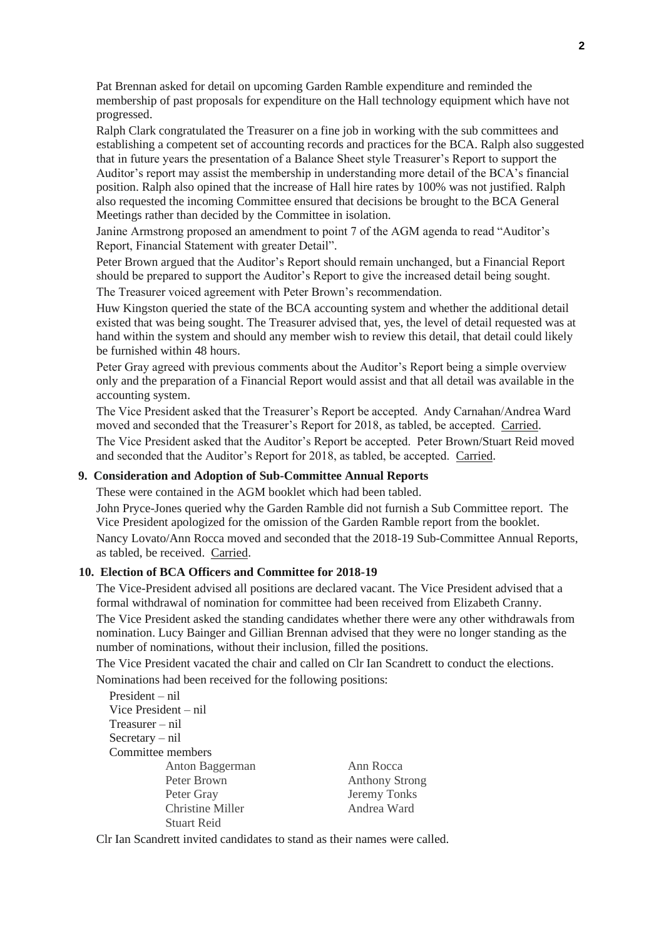Pat Brennan asked for detail on upcoming Garden Ramble expenditure and reminded the membership of past proposals for expenditure on the Hall technology equipment which have not progressed.

Ralph Clark congratulated the Treasurer on a fine job in working with the sub committees and establishing a competent set of accounting records and practices for the BCA. Ralph also suggested that in future years the presentation of a Balance Sheet style Treasurer's Report to support the Auditor's report may assist the membership in understanding more detail of the BCA's financial position. Ralph also opined that the increase of Hall hire rates by 100% was not justified. Ralph also requested the incoming Committee ensured that decisions be brought to the BCA General Meetings rather than decided by the Committee in isolation.

Janine Armstrong proposed an amendment to point 7 of the AGM agenda to read "Auditor's Report, Financial Statement with greater Detail".

Peter Brown argued that the Auditor's Report should remain unchanged, but a Financial Report should be prepared to support the Auditor's Report to give the increased detail being sought.

The Treasurer voiced agreement with Peter Brown's recommendation.

Huw Kingston queried the state of the BCA accounting system and whether the additional detail existed that was being sought. The Treasurer advised that, yes, the level of detail requested was at hand within the system and should any member wish to review this detail, that detail could likely be furnished within 48 hours.

Peter Gray agreed with previous comments about the Auditor's Report being a simple overview only and the preparation of a Financial Report would assist and that all detail was available in the accounting system.

The Vice President asked that the Treasurer's Report be accepted. Andy Carnahan/Andrea Ward moved and seconded that the Treasurer's Report for 2018, as tabled, be accepted. Carried. The Vice President asked that the Auditor's Report be accepted. Peter Brown/Stuart Reid moved and seconded that the Auditor's Report for 2018, as tabled, be accepted. Carried.

#### **9. Consideration and Adoption of Sub-Committee Annual Reports**

These were contained in the AGM booklet which had been tabled.

John Pryce-Jones queried why the Garden Ramble did not furnish a Sub Committee report. The Vice President apologized for the omission of the Garden Ramble report from the booklet. Nancy Lovato/Ann Rocca moved and seconded that the 2018-19 Sub-Committee Annual Reports, as tabled, be received. Carried.

### **10. Election of BCA Officers and Committee for 2018-19**

The Vice-President advised all positions are declared vacant. The Vice President advised that a formal withdrawal of nomination for committee had been received from Elizabeth Cranny. The Vice President asked the standing candidates whether there were any other withdrawals from nomination. Lucy Bainger and Gillian Brennan advised that they were no longer standing as the number of nominations, without their inclusion, filled the positions.

The Vice President vacated the chair and called on Clr Ian Scandrett to conduct the elections. Nominations had been received for the following positions:

| $President - nil$       |                       |
|-------------------------|-----------------------|
| Vice President $-$ nil  |                       |
| $T$ reasurer – nil      |                       |
| $S$ ecretary – nil      |                       |
| Committee members       |                       |
| Anton Baggerman         | Ann Rocca             |
| Peter Brown             | <b>Anthony Strong</b> |
| Peter Gray              | Jeremy Tonks          |
| <b>Christine Miller</b> | Andrea Ward           |
| <b>Stuart Reid</b>      |                       |

Clr Ian Scandrett invited candidates to stand as their names were called.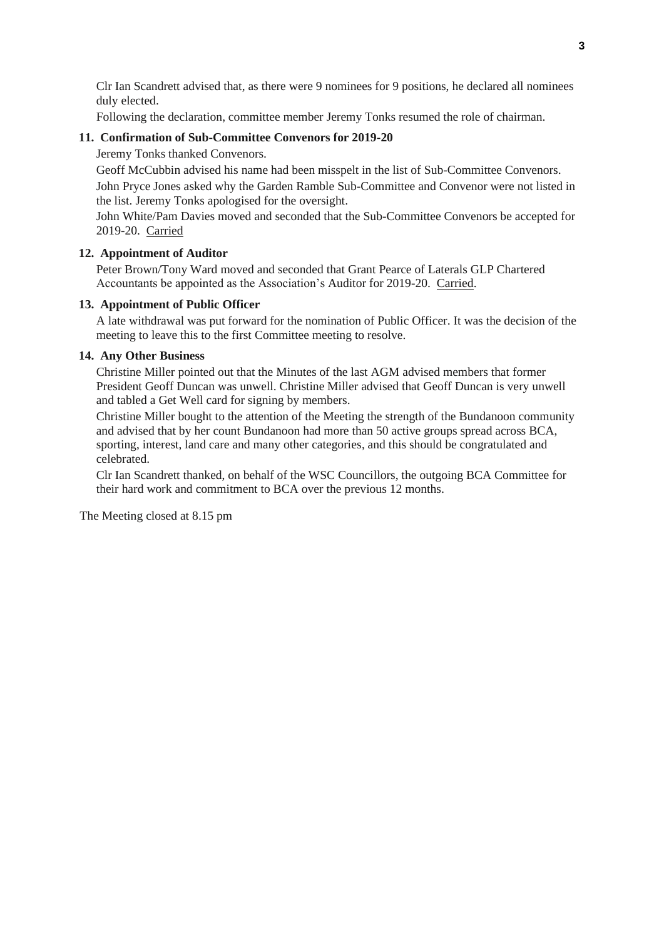Clr Ian Scandrett advised that, as there were 9 nominees for 9 positions, he declared all nominees duly elected.

Following the declaration, committee member Jeremy Tonks resumed the role of chairman.

### **11. Confirmation of Sub-Committee Convenors for 2019-20**

Jeremy Tonks thanked Convenors.

Geoff McCubbin advised his name had been misspelt in the list of Sub-Committee Convenors. John Pryce Jones asked why the Garden Ramble Sub-Committee and Convenor were not listed in the list. Jeremy Tonks apologised for the oversight.

John White/Pam Davies moved and seconded that the Sub-Committee Convenors be accepted for 2019-20. Carried

### **12. Appointment of Auditor**

Peter Brown/Tony Ward moved and seconded that Grant Pearce of Laterals GLP Chartered Accountants be appointed as the Association's Auditor for 2019-20. Carried.

#### **13. Appointment of Public Officer**

A late withdrawal was put forward for the nomination of Public Officer. It was the decision of the meeting to leave this to the first Committee meeting to resolve.

#### **14. Any Other Business**

Christine Miller pointed out that the Minutes of the last AGM advised members that former President Geoff Duncan was unwell. Christine Miller advised that Geoff Duncan is very unwell and tabled a Get Well card for signing by members.

Christine Miller bought to the attention of the Meeting the strength of the Bundanoon community and advised that by her count Bundanoon had more than 50 active groups spread across BCA, sporting, interest, land care and many other categories, and this should be congratulated and celebrated.

Clr Ian Scandrett thanked, on behalf of the WSC Councillors, the outgoing BCA Committee for their hard work and commitment to BCA over the previous 12 months.

The Meeting closed at 8.15 pm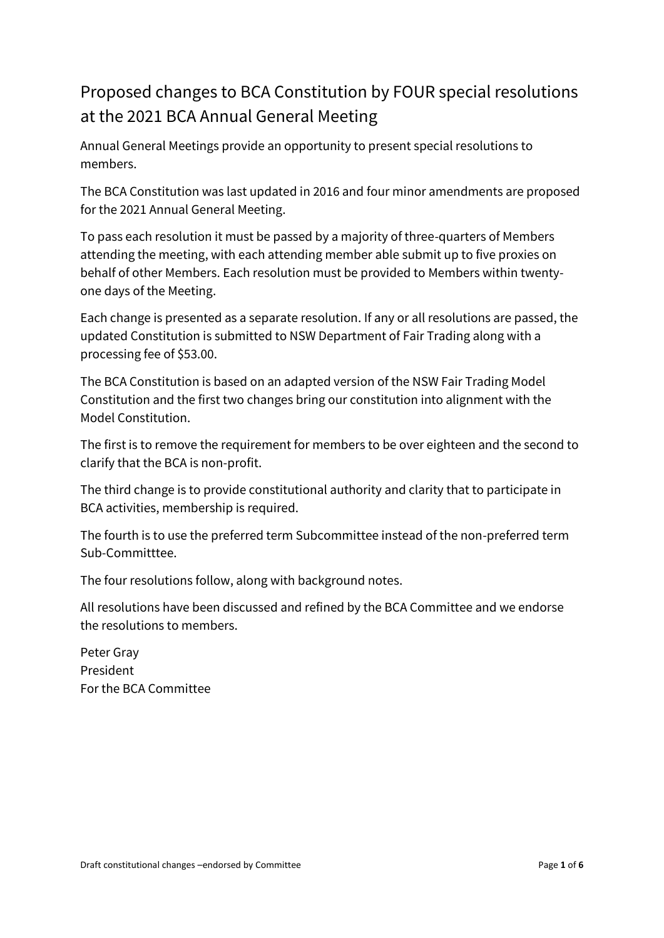# Proposed changes to BCA Constitution by FOUR special resolutions at the 2021 BCA Annual General Meeting

Annual General Meetings provide an opportunity to present special resolutions to members.

The BCA Constitution was last updated in 2016 and four minor amendments are proposed for the 2021 Annual General Meeting.

To pass each resolution it must be passed by a majority of three-quarters of Members attending the meeting, with each attending member able submit up to five proxies on behalf of other Members. Each resolution must be provided to Members within twentyone days of the Meeting.

Each change is presented as a separate resolution. If any or all resolutions are passed, the updated Constitution is submitted to NSW Department of Fair Trading along with a processing fee of \$53.00.

The BCA Constitution is based on an adapted version of the NSW Fair Trading Model Constitution and the first two changes bring our constitution into alignment with the Model Constitution.

The first is to remove the requirement for members to be over eighteen and the second to clarify that the BCA is non-profit.

The third change is to provide constitutional authority and clarity that to participate in BCA activities, membership is required.

The fourth is to use the preferred term Subcommittee instead of the non-preferred term Sub-Committtee.

The four resolutions follow, along with background notes.

All resolutions have been discussed and refined by the BCA Committee and we endorse the resolutions to members.

Peter Gray President For the BCA Committee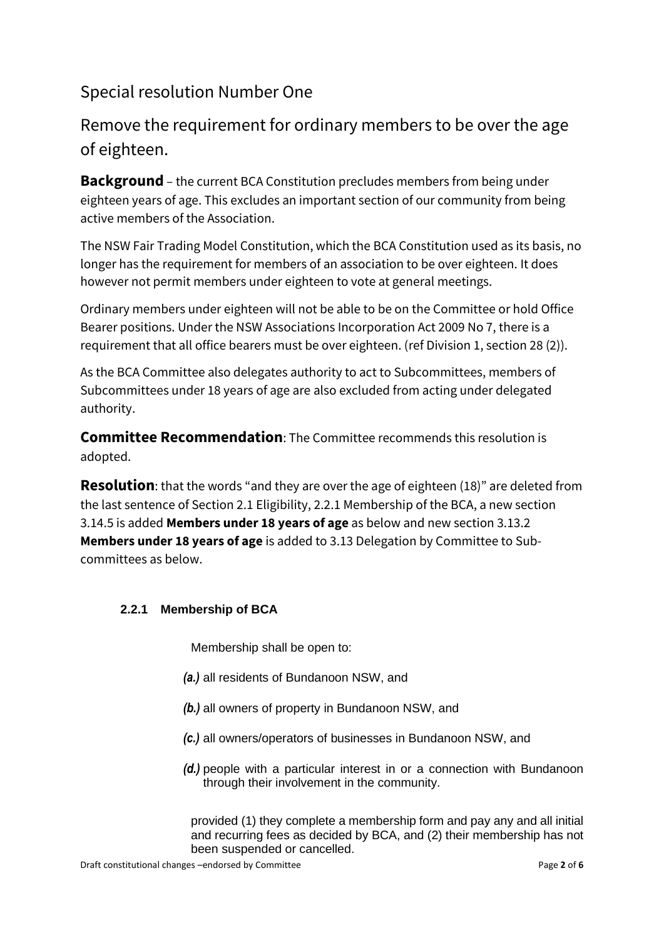# Special resolution Number One

# Remove the requirement for ordinary members to be over the age of eighteen.

**Background** – the current BCA Constitution precludes members from being under eighteen years of age. This excludes an important section of our community from being active members of the Association.

The NSW Fair Trading Model Constitution, which the BCA Constitution used as its basis, no longer has the requirement for members of an association to be over eighteen. It does however not permit members under eighteen to vote at general meetings.

Ordinary members under eighteen will not be able to be on the Committee or hold Office Bearer positions. Under the NSW Associations Incorporation Act 2009 No 7, there is a requirement that all office bearers must be over eighteen. (ref Division 1, section 28 (2)).

As the BCA Committee also delegates authority to act to Subcommittees, members of Subcommittees under 18 years of age are also excluded from acting under delegated authority.

**Committee Recommendation**: The Committee recommends this resolution is adopted.

**Resolution**: that the words "and they are over the age of eighteen (18)" are deleted from the last sentence of Section 2.1 Eligibility, 2.2.1 Membership of the BCA, a new section 3.14.5 is added **Members under 18 years of age** as below and new section 3.13.2 **Members under 18 years of age** is added to 3.13 Delegation by Committee to Subcommittees as below.

## **2.2.1 Membership of BCA**

Membership shall be open to:

- *(a.)* all residents of Bundanoon NSW, and
- *(b.)* all owners of property in Bundanoon NSW, and
- *(c.)* all owners/operators of businesses in Bundanoon NSW, and
- *(d.)* people with a particular interest in or a connection with Bundanoon through their involvement in the community.

provided (1) they complete a membership form and pay any and all initial and recurring fees as decided by BCA, and (2) their membership has not been suspended or cancelled.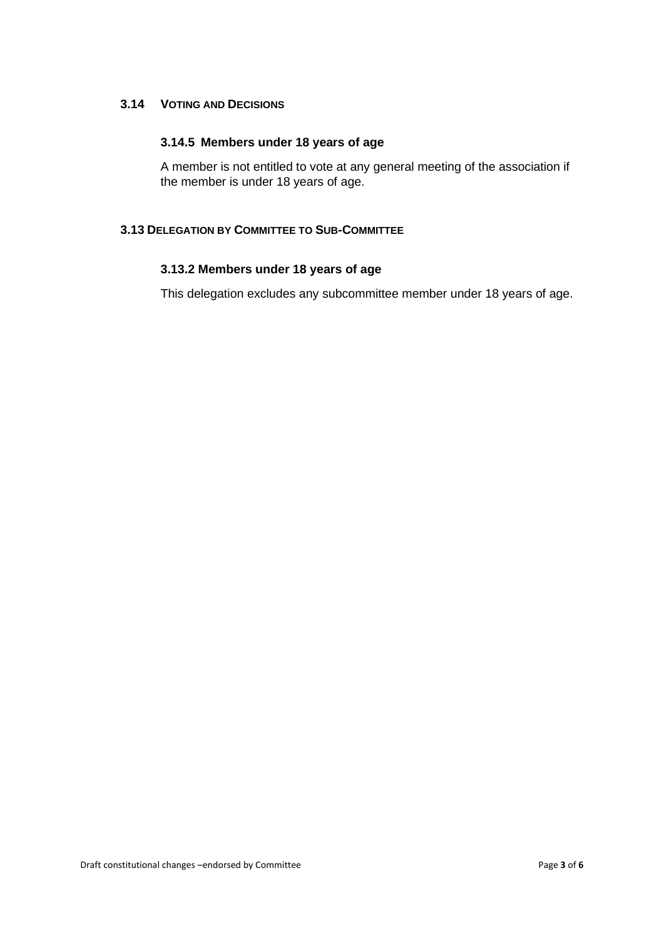### **3.14 VOTING AND DECISIONS**

### **3.14.5 Members under 18 years of age**

A member is not entitled to vote at any general meeting of the association if the member is under 18 years of age.

### **3.13 DELEGATION BY COMMITTEE TO SUB-COMMITTEE**

### **3.13.2 Members under 18 years of age**

This delegation excludes any subcommittee member under 18 years of age.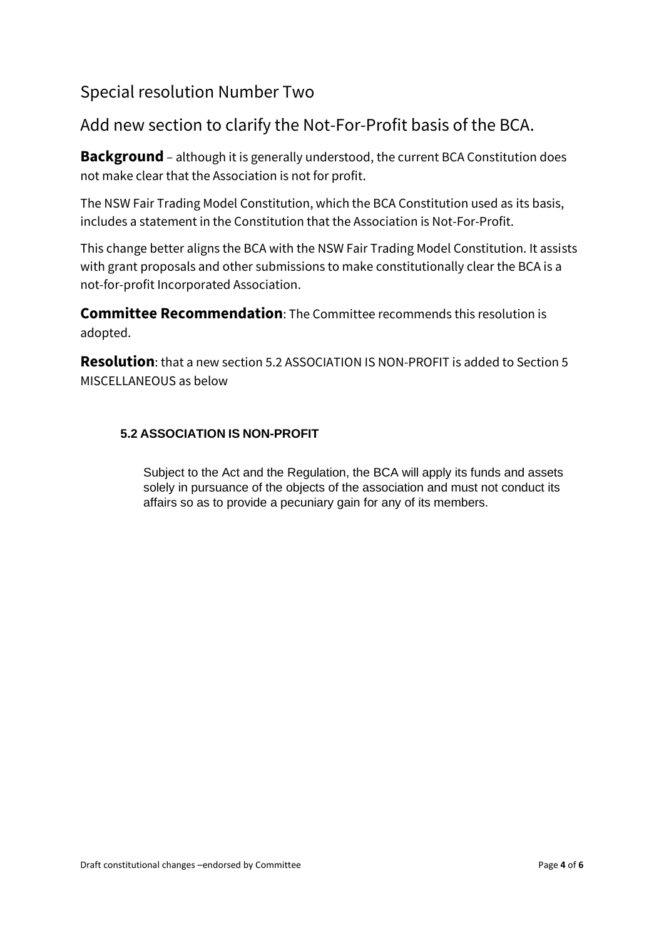## Special resolution Number Two

## Add new section to clarify the Not-For-Profit basis of the BCA.

**Background** – although it is generally understood, the current BCA Constitution does not make clear that the Association is not for profit.

The NSW Fair Trading Model Constitution, which the BCA Constitution used as its basis, includes a statement in the Constitution that the Association is Not-For-Profit.

This change better aligns the BCA with the NSW Fair Trading Model Constitution. It assists with grant proposals and other submissions to make constitutionally clear the BCA is a not-for-profit Incorporated Association.

**Committee Recommendation**: The Committee recommends this resolution is adopted.

**Resolution**: that a new section 5.2 ASSOCIATION IS NON-PROFIT is added to Section 5 MISCELLANEOUS as below

## **5.2 ASSOCIATION IS NON-PROFIT**

Subject to the Act and the Regulation, the BCA will apply its funds and assets solely in pursuance of the objects of the association and must not conduct its affairs so as to provide a pecuniary gain for any of its members.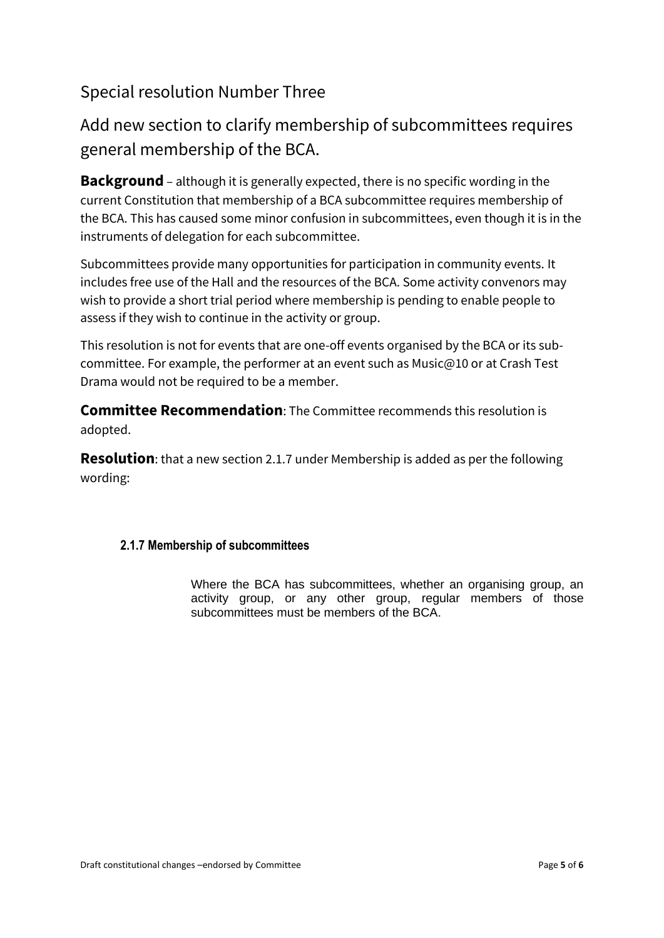## Special resolution Number Three

# Add new section to clarify membership of subcommittees requires general membership of the BCA.

**Background** – although it is generally expected, there is no specific wording in the current Constitution that membership of a BCA subcommittee requires membership of the BCA. This has caused some minor confusion in subcommittees, even though it is in the instruments of delegation for each subcommittee.

Subcommittees provide many opportunities for participation in community events. It includes free use of the Hall and the resources of the BCA. Some activity convenors may wish to provide a short trial period where membership is pending to enable people to assess if they wish to continue in the activity or group.

This resolution is not for events that are one-off events organised by the BCA or its subcommittee. For example, the performer at an event such as Music@10 or at Crash Test Drama would not be required to be a member.

**Committee Recommendation**: The Committee recommends this resolution is adopted.

**Resolution**: that a new section 2.1.7 under Membership is added as per the following wording:

## **2.1.7 Membership of subcommittees**

Where the BCA has subcommittees, whether an organising group, an activity group, or any other group, regular members of those subcommittees must be members of the BCA.